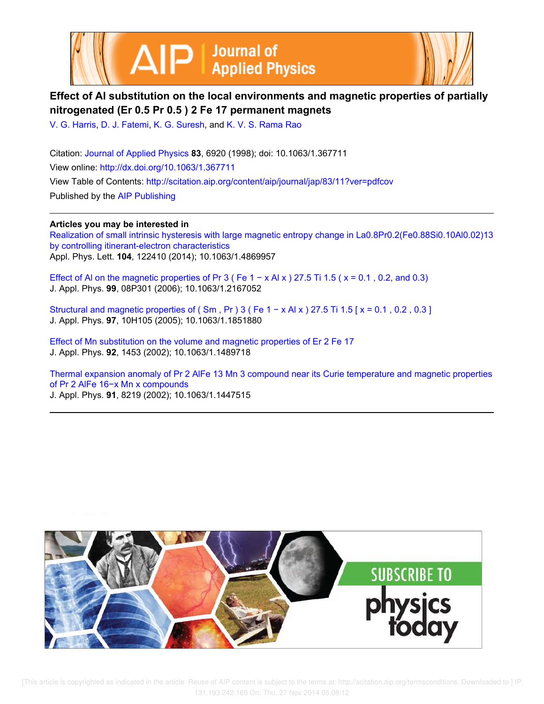



# **Effect of Al substitution on the local environments and magnetic properties of partially nitrogenated (Er 0.5 Pr 0.5 ) 2 Fe 17 permanent magnets**

V. G. Harris, D. J. Fatemi, K. G. Suresh, and K. V. S. Rama Rao

Citation: Journal of Applied Physics **83**, 6920 (1998); doi: 10.1063/1.367711 View online: http://dx.doi.org/10.1063/1.367711 View Table of Contents: http://scitation.aip.org/content/aip/journal/jap/83/11?ver=pdfcov Published by the AIP Publishing

## **Articles you may be interested in**

Realization of small intrinsic hysteresis with large magnetic entropy change in La0.8Pr0.2(Fe0.88Si0.10Al0.02)13 by controlling itinerant-electron characteristics Appl. Phys. Lett. **104**, 122410 (2014); 10.1063/1.4869957

Effect of Al on the magnetic properties of Pr 3 ( Fe  $1 - x$  Al x ) 27.5 Ti 1.5 ( $x = 0.1$ , 0.2, and 0.3) J. Appl. Phys. **99**, 08P301 (2006); 10.1063/1.2167052

Structural and magnetic properties of ( $\text{Sm}$ , Pr) 3 (Fe 1 – x Al x) 27.5 Ti 1.5 [ $x = 0.1$ , 0.2, 0.3] J. Appl. Phys. **97**, 10H105 (2005); 10.1063/1.1851880

Effect of Mn substitution on the volume and magnetic properties of Er 2 Fe 17 J. Appl. Phys. **92**, 1453 (2002); 10.1063/1.1489718

Thermal expansion anomaly of Pr 2 AlFe 13 Mn 3 compound near its Curie temperature and magnetic properties of Pr 2 AlFe 16−x Mn x compounds J. Appl. Phys. **91**, 8219 (2002); 10.1063/1.1447515

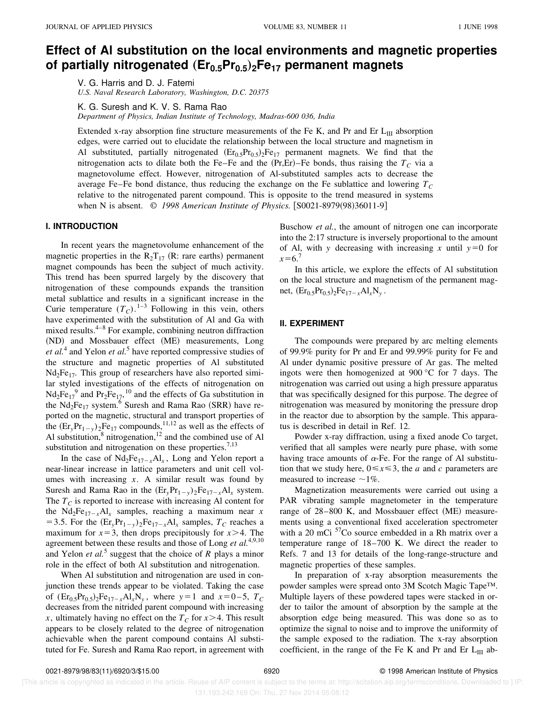# **Effect of Al substitution on the local environments and magnetic properties of partially nitrogenated** "**Er0.5Pr0.5**…**2Fe<sup>17</sup> permanent magnets**

V. G. Harris and D. J. Fatemi

*U.S. Naval Research Laboratory, Washington, D.C. 20375*

K. G. Suresh and K. V. S. Rama Rao

*Department of Physics, Indian Institute of Technology, Madras-600 036, India*

Extended x-ray absorption fine structure measurements of the Fe K, and Pr and Er  $L_{III}$  absorption edges, were carried out to elucidate the relationship between the local structure and magnetism in Al substituted, partially nitrogenated  $(Er_{0.5}Pr_{0.5})_2Fe_{17}$  permanent magnets. We find that the nitrogenation acts to dilate both the Fe–Fe and the  $(Pr, Er)$ –Fe bonds, thus raising the  $T_c$  via a magnetovolume effect. However, nitrogenation of Al-substituted samples acts to decrease the average Fe–Fe bond distance, thus reducing the exchange on the Fe sublattice and lowering  $T_C$ relative to the nitrogenated parent compound. This is opposite to the trend measured in systems when N is absent. © 1998 American Institute of Physics. [S0021-8979(98)36011-9]

### **I. INTRODUCTION**

In recent years the magnetovolume enhancement of the magnetic properties in the  $R_2T_{17}$  (R: rare earths) permanent magnet compounds has been the subject of much activity. This trend has been spurred largely by the discovery that nitrogenation of these compounds expands the transition metal sublattice and results in a significant increase in the Curie temperature  $(T_C)$ .<sup>1–3</sup> Following in this vein, others have experimented with the substitution of Al and Ga with mixed results. $4-8$  For example, combining neutron diffraction (ND) and Mossbauer effect (ME) measurements, Long et al.<sup>4</sup> and Yelon et al.<sup>5</sup> have reported compressive studies of the structure and magnetic properties of Al substituted  $Nd<sub>2</sub>Fe<sub>17</sub>$ . This group of researchers have also reported similar styled investigations of the effects of nitrogenation on  $Nd_2Fe_{17}^9$  and  $Pr_2Fe_{17}$ , <sup>10</sup> and the effects of Ga substitution in the  $Nd_2Fe_{17}$  system.<sup>6</sup> Suresh and Rama Rao (SRR) have reported on the magnetic, structural and transport properties of the  $(Er_y Pr_{1-y})_2Fe_{17}$  compounds,<sup>11,12</sup> as well as the effects of Al substitution, $8$  nitrogenation,<sup>12</sup> and the combined use of Al substitution and nitrogenation on these properties.<sup>7,13</sup>

In the case of  $Nd_2Fe_{17-x}Al_x$ , Long and Yelon report a near-linear increase in lattice parameters and unit cell volumes with increasing *x*. A similar result was found by Suresh and Rama Rao in the  $(Er_y Pr_{1-y})_2Fe_{17-x}Al_x$  system. The  $T_c$  is reported to increase with increasing Al content for the  $Nd_2Fe_{17-x}Al_x$  samples, reaching a maximum near *x* = 3.5. For the  $(Er_y Pr_{1-y} )_2Fe_{17-x}Al_x$  samples,  $T_C$  reaches a maximum for  $x=3$ , then drops precipitously for  $x>4$ . The agreement between these results and those of Long *et al.*4,9,10 and Yelon *et al.*<sup>5</sup> suggest that the choice of  $R$  plays a minor role in the effect of both Al substitution and nitrogenation.

When Al substitution and nitrogenation are used in conjunction these trends appear to be violated. Taking the case of  $(Er_{0.5}Pr_{0.5})_2Fe_{17-x}Al_xN_y$ , where  $y=1$  and  $x=0-5$ ,  $T_C$ decreases from the nitrided parent compound with increasing *x*, ultimately having no effect on the  $T_c$  for  $x > 4$ . This result appears to be closely related to the degree of nitrogenation achievable when the parent compound contains Al substituted for Fe. Suresh and Rama Rao report, in agreement with Buschow *et al.*, the amount of nitrogen one can incorporate into the 2:17 structure is inversely proportional to the amount of Al, with *y* decreasing with increasing *x* until  $y=0$  for  $x=6.7$ 

In this article, we explore the effects of Al substitution on the local structure and magnetism of the permanent magnet,  $(Er_{0.5}Pr_{0.5})_2Fe_{17-x}Al_xN_y$ .

#### **II. EXPERIMENT**

The compounds were prepared by arc melting elements of 99.9% purity for Pr and Er and 99.99% purity for Fe and Al under dynamic positive pressure of Ar gas. The melted ingots were then homogenized at 900 °C for 7 days. The nitrogenation was carried out using a high pressure apparatus that was specifically designed for this purpose. The degree of nitrogenation was measured by monitoring the pressure drop in the reactor due to absorption by the sample. This apparatus is described in detail in Ref. 12.

Powder x-ray diffraction, using a fixed anode Co target, verified that all samples were nearly pure phase, with some having trace amounts of  $\alpha$ -Fe. For the range of Al substitution that we study here,  $0 \le x \le 3$ , the *a* and *c* parameters are measured to increase  $\sim$ 1%.

Magnetization measurements were carried out using a PAR vibrating sample magnetometer in the temperature range of  $28-800$  K, and Mossbauer effect (ME) measurements using a conventional fixed acceleration spectrometer with a 20 mCi  $57$ Co source embedded in a Rh matrix over a temperature range of 18–700 K. We direct the reader to Refs. 7 and 13 for details of the long-range-structure and magnetic properties of these samples.

In preparation of x-ray absorption measurements the powder samples were spread onto 3M Scotch Magic Tape™. Multiple layers of these powdered tapes were stacked in order to tailor the amount of absorption by the sample at the absorption edge being measured. This was done so as to optimize the signal to noise and to improve the uniformity of the sample exposed to the radiation. The x-ray absorption coefficient, in the range of the Fe K and Pr and Er  $L_{III}$  ab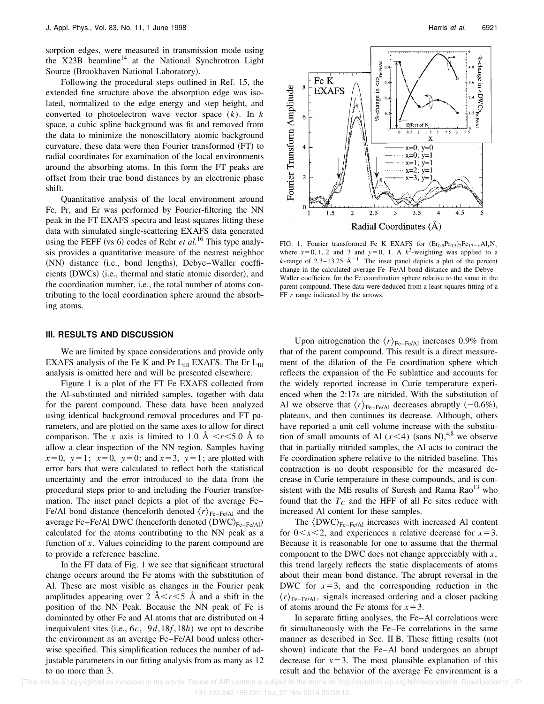sorption edges, were measured in transmission mode using the  $X23B$  beamline<sup>14</sup> at the National Synchrotron Light Source (Brookhaven National Laboratory).

Following the procedural steps outlined in Ref. 15, the extended fine structure above the absorption edge was isolated, normalized to the edge energy and step height, and converted to photoelectron wave vector space (*k*). In *k* space, a cubic spline background was fit and removed from the data to minimize the nonoscillatory atomic background curvature. these data were then Fourier transformed (FT) to radial coordinates for examination of the local environments around the absorbing atoms. In this form the FT peaks are offset from their true bond distances by an electronic phase shift.

Quantitative analysis of the local environment around Fe, Pr, and Er was performed by Fourier-filtering the NN peak in the FT EXAFS spectra and least squares fitting these data with simulated single-scattering EXAFS data generated using the FEFF (vs 6) codes of Rehr *et al.*<sup>16</sup> This type analysis provides a quantitative measure of the nearest neighbor (NN) distance (i.e., bond lengths), Debye–Waller coefficients (DWCs) (i.e., thermal and static atomic disorder), and the coordination number, i.e., the total number of atoms contributing to the local coordination sphere around the absorbing atoms.

#### **III. RESULTS AND DISCUSSION**

We are limited by space considerations and provide only EXAFS analysis of the Fe K and Pr  $L_{III}$  EXAFS. The Er  $L_{III}$ analysis is omitted here and will be presented elsewhere.

Figure 1 is a plot of the FT Fe EXAFS collected from the Al-substituted and nitrided samples, together with data for the parent compound. These data have been analyzed using identical background removal procedures and FT parameters, and are plotted on the same axes to allow for direct comparison. The *x* axis is limited to 1.0 Å  $\lt$ *r* $\lt$ 5.0 Å to allow a clear inspection of the NN region. Samples having  $x=0$ ,  $y=1$ ;  $x=0$ ,  $y=0$ ; and  $x=3$ ,  $y=1$ ; are plotted with error bars that were calculated to reflect both the statistical uncertainty and the error introduced to the data from the procedural steps prior to and including the Fourier transformation. The inset panel depicts a plot of the average Fe– Fe/Al bond distance (henceforth denoted  $\langle r \rangle_{\text{Fe}-\text{Fe/A1}}$  and the average Fe–Fe/Al DWC (henceforth denoted  $\langle DWC \rangle_{Fe-Fe/Al}$ ) calculated for the atoms contributing to the NN peak as a function of *x*. Values coinciding to the parent compound are to provide a reference baseline.

In the FT data of Fig. 1 we see that significant structural change occurs around the Fe atoms with the substitution of Al. These are most visible as changes in the Fourier peak amplitudes appearing over 2  $A < r < 5$  Å and a shift in the position of the NN Peak. Because the NN peak of Fe is dominated by other Fe and Al atoms that are distributed on 4 inequivalent sites  $(i.e., 6c, 9d,18f,18h)$  we opt to describe the environment as an average Fe–Fe/Al bond unless otherwise specified. This simplification reduces the number of adjustable parameters in our fitting analysis from as many as 12 to no more than 3.



FIG. 1. Fourier transformed Fe K EXAFS for  $(Er_{0.5}Pr_{0.5})_2Fe_{17-x}Al_xN_y$ where  $x=0, 1, 2$  and 3 and  $y=0, 1$ . A  $k^3$ -weighting was applied to a  $k$ -range of 2.3–13.25  $A^{-1}$ . The inset panel depicts a plot of the percent change in the calculated average Fe–Fe/Al bond distance and the Debye– Waller coefficient for the Fe coordination sphere relative to the same in the parent compound. These data were deduced from a least-squares fitting of a FF *r* range indicated by the arrows.

Upon nitrogenation the  $\langle r \rangle_{\text{Fe-Fe/A1}}$  increases 0.9% from that of the parent compound. This result is a direct measurement of the dilation of the Fe coordination sphere which reflects the expansion of the Fe sublattice and accounts for the widely reported increase in Curie temperature experienced when the 2:17*s* are nitrided. With the substitution of Al we observe that  $\langle r \rangle_{\text{Fe-Fe/A1}}$  decreases abruptly  $(-0.6\%)$ , plateaus, and then continues its decrease. Although, others have reported a unit cell volume increase with the substitution of small amounts of Al  $(x<4)$  (sans N),<sup>4,8</sup> we observe that in partially nitrided samples, the Al acts to contract the Fe coordination sphere relative to the nitrided baseline. This contraction is no doubt responsible for the measured decrease in Curie temperature in these compounds, and is consistent with the ME results of Suresh and Rama  $Rao<sup>13</sup>$  who found that the  $T_c$  and the HFF of all Fe sites reduce with increased Al content for these samples.

The  $\langle DWC \rangle_{Fe-Fe/A1}$  increases with increased Al content for  $0 \le x \le 2$ , and experiences a relative decrease for  $x=3$ . Because it is reasonable for one to assume that the thermal component to the DWC does not change appreciably with *x*, this trend largely reflects the static displacements of atoms about their mean bond distance. The abrupt reversal in the DWC for  $x=3$ , and the corresponding reduction in the  $\langle r \rangle_{\text{Fe-Fe/A1}}$ , signals increased ordering and a closer packing of atoms around the Fe atoms for  $x=3$ .

In separate fitting analyses, the Fe–Al correlations were fit simultaneously with the Fe–Fe correlations in the same manner as described in Sec. II B. These fitting results (not shown) indicate that the Fe–Al bond undergoes an abrupt decrease for  $x=3$ . The most plausible explanation of this result and the behavior of the average Fe environment is a